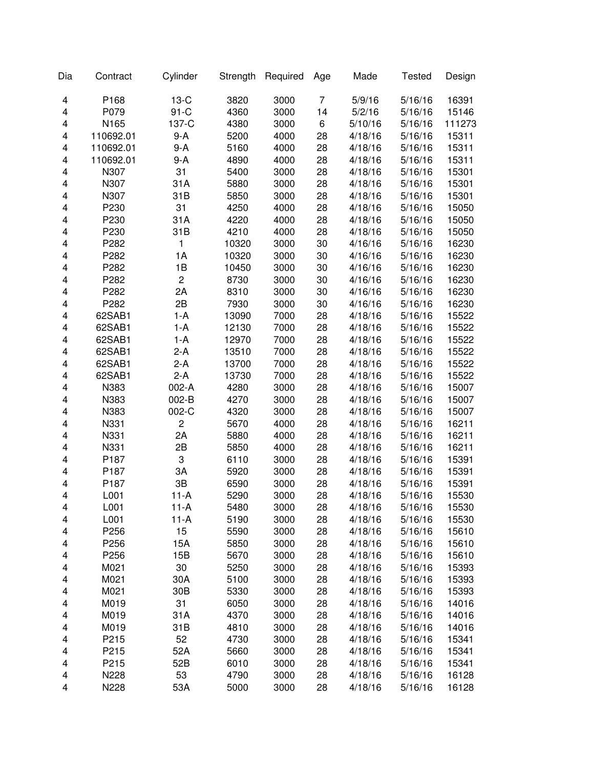| Dia | Contract  | Cylinder        | Strength | Required | Age | Made    | <b>Tested</b> | Design |
|-----|-----------|-----------------|----------|----------|-----|---------|---------------|--------|
| 4   | P168      | $13-C$          | 3820     | 3000     | 7   | 5/9/16  | 5/16/16       | 16391  |
| 4   | P079      | $91-C$          | 4360     | 3000     | 14  | 5/2/16  | 5/16/16       | 15146  |
| 4   | N165      | 137-C           | 4380     | 3000     | 6   | 5/10/16 | 5/16/16       | 111273 |
| 4   | 110692.01 | 9-A             | 5200     | 4000     | 28  | 4/18/16 | 5/16/16       | 15311  |
| 4   | 110692.01 | 9-A             | 5160     | 4000     | 28  | 4/18/16 | 5/16/16       | 15311  |
| 4   | 110692.01 | 9-A             | 4890     | 4000     | 28  | 4/18/16 | 5/16/16       | 15311  |
| 4   | N307      | 31              | 5400     | 3000     | 28  | 4/18/16 | 5/16/16       | 15301  |
| 4   | N307      | 31A             | 5880     | 3000     | 28  | 4/18/16 | 5/16/16       | 15301  |
| 4   | N307      | 31B             | 5850     | 3000     | 28  | 4/18/16 | 5/16/16       | 15301  |
| 4   | P230      | 31              | 4250     | 4000     | 28  | 4/18/16 | 5/16/16       | 15050  |
| 4   | P230      | 31A             | 4220     | 4000     | 28  | 4/18/16 | 5/16/16       | 15050  |
| 4   | P230      | 31B             | 4210     | 4000     | 28  | 4/18/16 | 5/16/16       | 15050  |
| 4   | P282      | $\mathbf{1}$    | 10320    | 3000     | 30  | 4/16/16 | 5/16/16       | 16230  |
| 4   | P282      | 1A              | 10320    | 3000     | 30  | 4/16/16 | 5/16/16       | 16230  |
| 4   | P282      | 1B              | 10450    | 3000     | 30  | 4/16/16 | 5/16/16       | 16230  |
| 4   | P282      | $\overline{c}$  | 8730     | 3000     | 30  | 4/16/16 | 5/16/16       | 16230  |
| 4   | P282      | 2A              | 8310     | 3000     | 30  | 4/16/16 | 5/16/16       | 16230  |
| 4   | P282      | 2B              | 7930     | 3000     | 30  | 4/16/16 | 5/16/16       | 16230  |
| 4   | 62SAB1    | $1-A$           | 13090    | 7000     | 28  | 4/18/16 | 5/16/16       | 15522  |
| 4   | 62SAB1    | $1-A$           | 12130    | 7000     | 28  | 4/18/16 | 5/16/16       | 15522  |
| 4   | 62SAB1    | $1-A$           | 12970    | 7000     | 28  | 4/18/16 | 5/16/16       | 15522  |
| 4   | 62SAB1    | $2-A$           | 13510    | 7000     | 28  | 4/18/16 | 5/16/16       | 15522  |
| 4   | 62SAB1    | $2-A$           | 13700    | 7000     | 28  | 4/18/16 | 5/16/16       | 15522  |
| 4   | 62SAB1    | $2-A$           | 13730    | 7000     | 28  | 4/18/16 | 5/16/16       | 15522  |
| 4   | N383      | 002-A           | 4280     | 3000     | 28  | 4/18/16 | 5/16/16       | 15007  |
| 4   | N383      | 002-B           | 4270     | 3000     | 28  | 4/18/16 | 5/16/16       | 15007  |
| 4   | N383      | 002-C           | 4320     | 3000     | 28  | 4/18/16 | 5/16/16       | 15007  |
| 4   | N331      | $\overline{c}$  | 5670     | 4000     | 28  | 4/18/16 | 5/16/16       | 16211  |
| 4   | N331      | 2A              | 5880     | 4000     | 28  | 4/18/16 | 5/16/16       | 16211  |
| 4   | N331      | 2B              | 5850     | 4000     | 28  | 4/18/16 | 5/16/16       | 16211  |
| 4   | P187      | 3               | 6110     | 3000     | 28  | 4/18/16 | 5/16/16       | 15391  |
| 4   | P187      | 3A              | 5920     | 3000     | 28  | 4/18/16 | 5/16/16       | 15391  |
| 4   | P187      | 3B              | 6590     | 3000     | 28  | 4/18/16 | 5/16/16       | 15391  |
| 4   | L001      | $11-A$          | 5290     | 3000     | 28  | 4/18/16 | 5/16/16       | 15530  |
| 4   | L001      | 11-A            | 5480     | 3000     | 28  | 4/18/16 | 5/16/16       | 15530  |
| 4   | L001      | $11-A$          | 5190     | 3000     | 28  | 4/18/16 | 5/16/16       | 15530  |
| 4   | P256      | 15              | 5590     | 3000     | 28  | 4/18/16 | 5/16/16       | 15610  |
| 4   | P256      | 15A             | 5850     | 3000     | 28  | 4/18/16 | 5/16/16       | 15610  |
| 4   | P256      | 15B             | 5670     | 3000     | 28  | 4/18/16 | 5/16/16       | 15610  |
| 4   | M021      | 30              | 5250     | 3000     | 28  | 4/18/16 | 5/16/16       | 15393  |
| 4   | M021      | 30A             | 5100     | 3000     | 28  | 4/18/16 | 5/16/16       | 15393  |
| 4   | M021      | 30 <sub>B</sub> | 5330     | 3000     | 28  | 4/18/16 | 5/16/16       | 15393  |
| 4   | M019      | 31              | 6050     | 3000     | 28  | 4/18/16 | 5/16/16       | 14016  |
| 4   | M019      | 31A             | 4370     | 3000     | 28  | 4/18/16 | 5/16/16       | 14016  |
| 4   | M019      | 31B             | 4810     | 3000     | 28  | 4/18/16 | 5/16/16       | 14016  |
| 4   | P215      | 52              | 4730     | 3000     | 28  | 4/18/16 | 5/16/16       | 15341  |
| 4   | P215      | 52A             | 5660     | 3000     | 28  | 4/18/16 | 5/16/16       | 15341  |
| 4   | P215      | 52B             | 6010     | 3000     | 28  | 4/18/16 | 5/16/16       | 15341  |
| 4   | N228      | 53              | 4790     | 3000     | 28  | 4/18/16 | 5/16/16       | 16128  |
| 4   | N228      | 53A             | 5000     | 3000     | 28  | 4/18/16 | 5/16/16       | 16128  |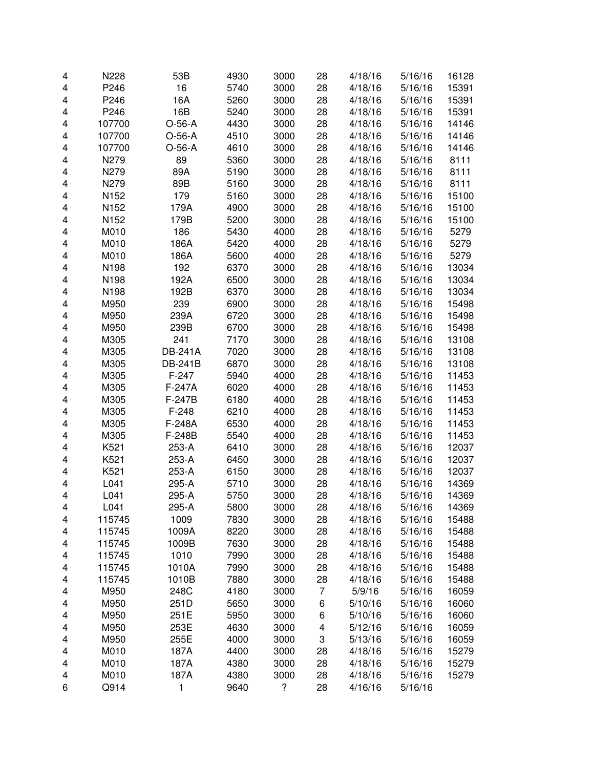| 4 | N228             | 53B            | 4930 | 3000 | 28 | 4/18/16 | 5/16/16 | 16128 |
|---|------------------|----------------|------|------|----|---------|---------|-------|
| 4 | P246             | 16             | 5740 | 3000 | 28 | 4/18/16 | 5/16/16 | 15391 |
| 4 | P246             | 16A            | 5260 | 3000 | 28 | 4/18/16 | 5/16/16 | 15391 |
| 4 | P246             | 16B            | 5240 | 3000 | 28 | 4/18/16 | 5/16/16 | 15391 |
| 4 | 107700           | $O-56-A$       | 4430 | 3000 | 28 | 4/18/16 | 5/16/16 | 14146 |
| 4 | 107700           | $O-56-A$       | 4510 | 3000 | 28 | 4/18/16 | 5/16/16 | 14146 |
| 4 | 107700           | $O-56-A$       | 4610 | 3000 | 28 | 4/18/16 | 5/16/16 | 14146 |
| 4 | N279             | 89             | 5360 | 3000 | 28 | 4/18/16 | 5/16/16 | 8111  |
| 4 | N279             | 89A            | 5190 | 3000 | 28 | 4/18/16 | 5/16/16 | 8111  |
| 4 | N279             | 89B            | 5160 | 3000 | 28 | 4/18/16 | 5/16/16 | 8111  |
| 4 | N <sub>152</sub> | 179            | 5160 | 3000 | 28 | 4/18/16 | 5/16/16 | 15100 |
| 4 | N <sub>152</sub> | 179A           | 4900 | 3000 | 28 | 4/18/16 | 5/16/16 | 15100 |
| 4 | N <sub>152</sub> | 179B           | 5200 | 3000 | 28 | 4/18/16 | 5/16/16 | 15100 |
| 4 | M010             | 186            | 5430 | 4000 | 28 | 4/18/16 | 5/16/16 | 5279  |
| 4 | M010             | 186A           | 5420 | 4000 | 28 | 4/18/16 | 5/16/16 | 5279  |
| 4 | M010             | 186A           | 5600 | 4000 | 28 | 4/18/16 | 5/16/16 | 5279  |
| 4 | N198             | 192            | 6370 | 3000 | 28 | 4/18/16 | 5/16/16 | 13034 |
| 4 | N198             | 192A           | 6500 | 3000 | 28 | 4/18/16 | 5/16/16 | 13034 |
| 4 | N198             | 192B           | 6370 | 3000 | 28 | 4/18/16 | 5/16/16 | 13034 |
| 4 | M950             | 239            | 6900 | 3000 | 28 | 4/18/16 | 5/16/16 | 15498 |
| 4 | M950             | 239A           | 6720 | 3000 | 28 | 4/18/16 | 5/16/16 | 15498 |
| 4 | M950             | 239B           | 6700 | 3000 | 28 | 4/18/16 | 5/16/16 | 15498 |
| 4 | M305             | 241            | 7170 | 3000 | 28 | 4/18/16 | 5/16/16 | 13108 |
| 4 | M305             | DB-241A        | 7020 | 3000 | 28 | 4/18/16 | 5/16/16 | 13108 |
| 4 | M305             | <b>DB-241B</b> | 6870 | 3000 | 28 | 4/18/16 | 5/16/16 | 13108 |
| 4 | M305             | $F-247$        | 5940 | 4000 | 28 | 4/18/16 | 5/16/16 | 11453 |
| 4 | M305             | F-247A         | 6020 | 4000 | 28 | 4/18/16 | 5/16/16 | 11453 |
| 4 | M305             | F-247B         | 6180 | 4000 | 28 | 4/18/16 | 5/16/16 | 11453 |
| 4 | M305             | $F-248$        | 6210 | 4000 | 28 | 4/18/16 | 5/16/16 | 11453 |
| 4 | M305             | F-248A         | 6530 | 4000 | 28 | 4/18/16 | 5/16/16 | 11453 |
| 4 | M305             | F-248B         | 5540 | 4000 | 28 | 4/18/16 | 5/16/16 | 11453 |
| 4 | K521             | 253-A          | 6410 | 3000 | 28 | 4/18/16 | 5/16/16 | 12037 |
| 4 | K521             | 253-A          | 6450 | 3000 | 28 | 4/18/16 | 5/16/16 | 12037 |
| 4 | K521             | 253-A          | 6150 | 3000 | 28 | 4/18/16 | 5/16/16 | 12037 |
| 4 | L041             | 295-A          | 5710 | 3000 | 28 | 4/18/16 | 5/16/16 | 14369 |
| 4 | L041             | 295-A          | 5750 | 3000 | 28 | 4/18/16 | 5/16/16 | 14369 |
| 4 | L041             | 295-A          | 5800 | 3000 | 28 | 4/18/16 | 5/16/16 | 14369 |
| 4 | 115745           | 1009           | 7830 | 3000 | 28 | 4/18/16 | 5/16/16 | 15488 |
| 4 | 115745           | 1009A          | 8220 | 3000 | 28 | 4/18/16 | 5/16/16 | 15488 |
| 4 | 115745           | 1009B          | 7630 | 3000 | 28 | 4/18/16 | 5/16/16 | 15488 |
| 4 | 115745           | 1010           | 7990 | 3000 | 28 | 4/18/16 | 5/16/16 | 15488 |
| 4 | 115745           | 1010A          | 7990 | 3000 | 28 | 4/18/16 | 5/16/16 | 15488 |
| 4 | 115745           | 1010B          | 7880 | 3000 | 28 | 4/18/16 | 5/16/16 | 15488 |
| 4 | M950             | 248C           | 4180 | 3000 | 7  | 5/9/16  | 5/16/16 | 16059 |
| 4 | M950             | 251D           | 5650 | 3000 | 6  | 5/10/16 | 5/16/16 | 16060 |
| 4 | M950             | 251E           | 5950 | 3000 | 6  | 5/10/16 | 5/16/16 | 16060 |
| 4 | M950             | 253E           | 4630 | 3000 | 4  | 5/12/16 | 5/16/16 | 16059 |
| 4 | M950             | 255E           | 4000 | 3000 | 3  | 5/13/16 | 5/16/16 | 16059 |
| 4 | M010             | 187A           | 4400 | 3000 | 28 | 4/18/16 | 5/16/16 | 15279 |
| 4 | M010             | 187A           | 4380 | 3000 | 28 | 4/18/16 | 5/16/16 | 15279 |
| 4 | M010             | 187A           | 4380 | 3000 | 28 | 4/18/16 | 5/16/16 | 15279 |
| 6 | Q914             | 1              | 9640 | ?    | 28 | 4/16/16 | 5/16/16 |       |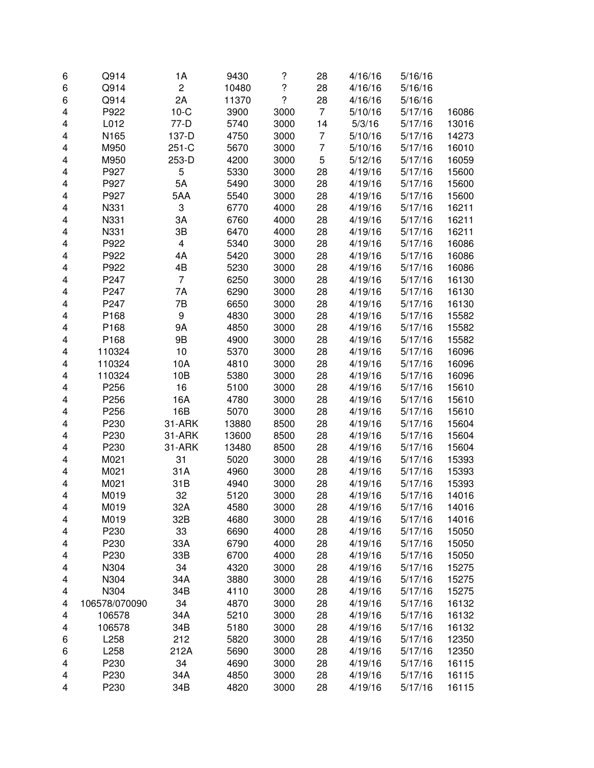| 6                       | Q914          | 1A                      | 9430  | $\overline{\mathcal{C}}$ | 28             | 4/16/16            | 5/16/16 |                |
|-------------------------|---------------|-------------------------|-------|--------------------------|----------------|--------------------|---------|----------------|
| 6                       | Q914          | $\mathbf 2$             | 10480 | $\ddot{?}$               | 28             | 4/16/16            | 5/16/16 |                |
| 6                       | Q914          | 2A                      | 11370 | $\overline{\phantom{a}}$ | 28             | 4/16/16            | 5/16/16 |                |
| $\overline{\mathbf{4}}$ | P922          | $10-C$                  | 3900  | 3000                     | $\overline{7}$ | 5/10/16            | 5/17/16 | 16086          |
| $\overline{\mathbf{4}}$ | L012          | $77-D$                  | 5740  | 3000                     | 14             | 5/3/16             | 5/17/16 | 13016          |
| 4                       | N165          | 137-D                   | 4750  | 3000                     | 7              | 5/10/16            | 5/17/16 | 14273          |
| 4                       | M950          | $251-C$                 | 5670  | 3000                     | $\overline{7}$ | 5/10/16            | 5/17/16 | 16010          |
| 4                       | M950          | 253-D                   | 4200  | 3000                     | 5              | 5/12/16            | 5/17/16 | 16059          |
| 4                       | P927          | 5                       | 5330  | 3000                     | 28             | 4/19/16            | 5/17/16 | 15600          |
| 4                       | P927          | 5A                      | 5490  | 3000                     | 28             | 4/19/16            | 5/17/16 | 15600          |
| 4                       | P927          | 5AA                     | 5540  | 3000                     | 28             | 4/19/16            | 5/17/16 | 15600          |
| 4                       | N331          | 3                       | 6770  | 4000                     | 28             | 4/19/16            | 5/17/16 | 16211          |
| $\overline{\mathbf{4}}$ | N331          | 3A                      | 6760  | 4000                     | 28             | 4/19/16            | 5/17/16 | 16211          |
| 4                       | N331          | 3B                      | 6470  | 4000                     | 28             | 4/19/16            | 5/17/16 | 16211          |
| 4                       | P922          | $\overline{\mathbf{4}}$ | 5340  | 3000                     | 28             | 4/19/16            | 5/17/16 | 16086          |
| 4                       | P922          | 4A                      | 5420  | 3000                     | 28             | 4/19/16            | 5/17/16 | 16086          |
| $\overline{\mathbf{4}}$ | P922          | 4B                      | 5230  | 3000                     | 28             | 4/19/16            | 5/17/16 | 16086          |
| 4                       | P247          | $\overline{7}$          | 6250  | 3000                     | 28             | 4/19/16            | 5/17/16 | 16130          |
| $\overline{\mathbf{4}}$ | P247          | 7A                      | 6290  | 3000                     | 28             | 4/19/16            | 5/17/16 | 16130          |
| 4                       | P247          | 7B                      | 6650  | 3000                     | 28             | 4/19/16            | 5/17/16 | 16130          |
| $\overline{\mathbf{4}}$ | P168          | 9                       | 4830  | 3000                     | 28             | 4/19/16            | 5/17/16 | 15582          |
| 4                       | P168          | <b>9A</b>               | 4850  | 3000                     | 28             | 4/19/16            | 5/17/16 | 15582          |
| 4                       | P168          | 9B                      | 4900  | 3000                     | 28             | 4/19/16            | 5/17/16 | 15582          |
| 4                       | 110324        | 10                      | 5370  | 3000                     | 28             | 4/19/16            | 5/17/16 | 16096          |
| 4                       | 110324        | 10A                     | 4810  | 3000                     | 28             | 4/19/16            | 5/17/16 | 16096          |
|                         | 110324        | 10B                     | 5380  | 3000                     | 28             | 4/19/16            | 5/17/16 | 16096          |
| 4                       | P256          | 16                      | 5100  | 3000                     | 28             |                    | 5/17/16 |                |
| 4                       | P256          | 16A                     | 4780  | 3000                     | 28             | 4/19/16<br>4/19/16 | 5/17/16 | 15610<br>15610 |
| 4                       | P256          | 16B                     | 5070  | 3000                     | 28             |                    |         |                |
| 4                       |               |                         |       |                          |                | 4/19/16            | 5/17/16 | 15610          |
| $\overline{\mathbf{4}}$ | P230          | 31-ARK                  | 13880 | 8500                     | 28             | 4/19/16            | 5/17/16 | 15604          |
| 4                       | P230          | 31-ARK                  | 13600 | 8500                     | 28             | 4/19/16            | 5/17/16 | 15604          |
| $\overline{\mathbf{4}}$ | P230          | 31-ARK                  | 13480 | 8500                     | 28             | 4/19/16            | 5/17/16 | 15604          |
| 4                       | M021          | 31                      | 5020  | 3000                     | 28             | 4/19/16            | 5/17/16 | 15393          |
| $\overline{\mathbf{4}}$ | M021          | 31A                     | 4960  | 3000                     | 28             | 4/19/16            | 5/17/16 | 15393          |
| 4                       | M021          | 31B                     | 4940  | 3000                     | 28             | 4/19/16            | 5/17/16 | 15393          |
| 4                       | M019          | 32                      | 5120  | 3000                     | 28             | 4/19/16            | 5/17/16 | 14016          |
| 4                       | M019          | 32A                     | 4580  | 3000                     | 28             | 4/19/16            | 5/17/16 | 14016          |
| 4                       | M019          | 32B                     | 4680  | 3000                     | 28             | 4/19/16            | 5/17/16 | 14016          |
| 4                       | P230          | 33                      | 6690  | 4000                     | 28             | 4/19/16            | 5/17/16 | 15050          |
| 4                       | P230          | 33A                     | 6790  | 4000                     | 28             | 4/19/16            | 5/17/16 | 15050          |
| 4                       | P230          | 33B                     | 6700  | 4000                     | 28             | 4/19/16            | 5/17/16 | 15050          |
| 4                       | N304          | 34                      | 4320  | 3000                     | 28             | 4/19/16            | 5/17/16 | 15275          |
| 4                       | N304          | 34A                     | 3880  | 3000                     | 28             | 4/19/16            | 5/17/16 | 15275          |
| 4                       | N304          | 34B                     | 4110  | 3000                     | 28             | 4/19/16            | 5/17/16 | 15275          |
| 4                       | 106578/070090 | 34                      | 4870  | 3000                     | 28             | 4/19/16            | 5/17/16 | 16132          |
| 4                       | 106578        | 34A                     | 5210  | 3000                     | 28             | 4/19/16            | 5/17/16 | 16132          |
| 4                       | 106578        | 34B                     | 5180  | 3000                     | 28             | 4/19/16            | 5/17/16 | 16132          |
| 6                       | L258          | 212                     | 5820  | 3000                     | 28             | 4/19/16            | 5/17/16 | 12350          |
| 6                       | L258          | 212A                    | 5690  | 3000                     | 28             | 4/19/16            | 5/17/16 | 12350          |
| 4                       | P230          | 34                      | 4690  | 3000                     | 28             | 4/19/16            | 5/17/16 | 16115          |
| 4                       | P230          | 34A                     | 4850  | 3000                     | 28             | 4/19/16            | 5/17/16 | 16115          |
| 4                       | P230          | 34B                     | 4820  | 3000                     | 28             | 4/19/16            | 5/17/16 | 16115          |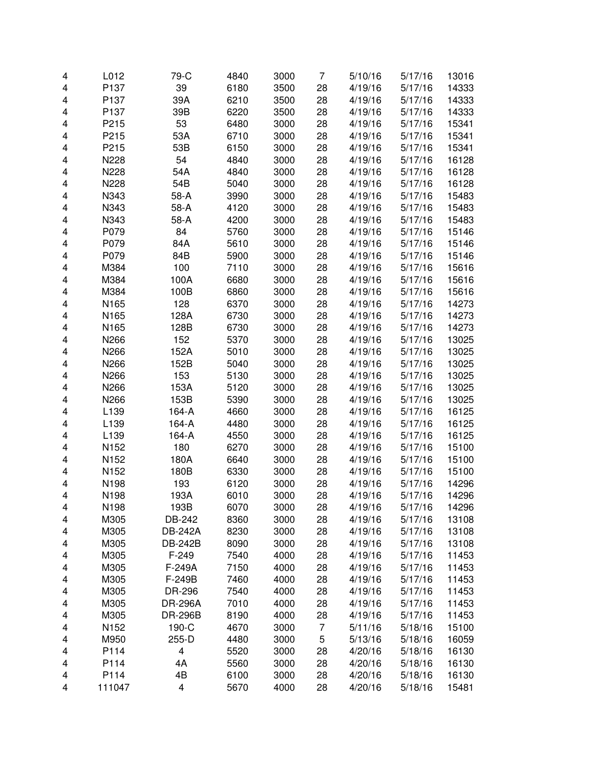| 4 | L012             | 79-C                    | 4840 | 3000 | 7  | 5/10/16 | 5/17/16 | 13016 |
|---|------------------|-------------------------|------|------|----|---------|---------|-------|
| 4 | P137             | 39                      | 6180 | 3500 | 28 | 4/19/16 | 5/17/16 | 14333 |
| 4 | P137             | 39A                     | 6210 | 3500 | 28 | 4/19/16 | 5/17/16 | 14333 |
| 4 | P137             | 39B                     | 6220 | 3500 | 28 | 4/19/16 | 5/17/16 | 14333 |
| 4 | P215             | 53                      | 6480 | 3000 | 28 | 4/19/16 | 5/17/16 | 15341 |
| 4 | P215             | 53A                     | 6710 | 3000 | 28 | 4/19/16 | 5/17/16 | 15341 |
| 4 | P215             | 53B                     | 6150 | 3000 | 28 | 4/19/16 | 5/17/16 | 15341 |
| 4 | N228             | 54                      | 4840 | 3000 | 28 | 4/19/16 | 5/17/16 | 16128 |
| 4 | N228             | 54A                     | 4840 | 3000 | 28 | 4/19/16 | 5/17/16 | 16128 |
| 4 | N228             | 54B                     | 5040 | 3000 | 28 | 4/19/16 | 5/17/16 | 16128 |
| 4 | N343             | 58-A                    | 3990 | 3000 | 28 | 4/19/16 | 5/17/16 | 15483 |
| 4 | N343             | 58-A                    | 4120 | 3000 | 28 | 4/19/16 | 5/17/16 | 15483 |
| 4 | N343             | 58-A                    | 4200 | 3000 | 28 | 4/19/16 | 5/17/16 | 15483 |
| 4 | P079             | 84                      | 5760 | 3000 | 28 | 4/19/16 | 5/17/16 | 15146 |
| 4 | P079             | 84A                     | 5610 | 3000 | 28 | 4/19/16 | 5/17/16 | 15146 |
| 4 | P079             | 84B                     | 5900 | 3000 | 28 | 4/19/16 | 5/17/16 | 15146 |
| 4 | M384             | 100                     | 7110 | 3000 | 28 | 4/19/16 | 5/17/16 | 15616 |
| 4 | M384             | 100A                    | 6680 | 3000 | 28 | 4/19/16 | 5/17/16 | 15616 |
| 4 | M384             | 100B                    | 6860 | 3000 | 28 | 4/19/16 | 5/17/16 | 15616 |
| 4 | N165             | 128                     | 6370 | 3000 | 28 | 4/19/16 | 5/17/16 | 14273 |
| 4 | N165             | 128A                    | 6730 | 3000 | 28 | 4/19/16 | 5/17/16 | 14273 |
| 4 | N165             | 128B                    | 6730 | 3000 | 28 | 4/19/16 | 5/17/16 | 14273 |
| 4 | N266             | 152                     | 5370 | 3000 | 28 | 4/19/16 | 5/17/16 | 13025 |
| 4 | N266             | 152A                    | 5010 | 3000 | 28 | 4/19/16 | 5/17/16 | 13025 |
| 4 | N266             | 152B                    | 5040 | 3000 | 28 | 4/19/16 | 5/17/16 | 13025 |
| 4 | N266             | 153                     | 5130 | 3000 | 28 | 4/19/16 | 5/17/16 | 13025 |
| 4 | N266             | 153A                    | 5120 | 3000 | 28 | 4/19/16 | 5/17/16 | 13025 |
| 4 | N266             | 153B                    | 5390 | 3000 | 28 | 4/19/16 | 5/17/16 | 13025 |
| 4 | L139             | 164-A                   | 4660 | 3000 | 28 | 4/19/16 | 5/17/16 | 16125 |
| 4 | L139             | 164-A                   | 4480 | 3000 | 28 | 4/19/16 | 5/17/16 | 16125 |
| 4 | L139             | 164-A                   | 4550 | 3000 | 28 | 4/19/16 | 5/17/16 | 16125 |
| 4 | N152             | 180                     | 6270 | 3000 | 28 | 4/19/16 | 5/17/16 | 15100 |
| 4 | N152             | 180A                    | 6640 | 3000 | 28 | 4/19/16 | 5/17/16 | 15100 |
| 4 | N152             | 180B                    | 6330 | 3000 | 28 | 4/19/16 | 5/17/16 | 15100 |
| 4 | N198             | 193                     | 6120 | 3000 | 28 | 4/19/16 | 5/17/16 | 14296 |
| 4 | N198             | 193A                    | 6010 | 3000 | 28 | 4/19/16 | 5/17/16 | 14296 |
| 4 | N <sub>198</sub> | 193B                    | 6070 | 3000 | 28 | 4/19/16 | 5/17/16 | 14296 |
| 4 | M305             | DB-242                  | 8360 | 3000 | 28 | 4/19/16 | 5/17/16 | 13108 |
| 4 | M305             | <b>DB-242A</b>          | 8230 | 3000 | 28 | 4/19/16 | 5/17/16 | 13108 |
| 4 | M305             | DB-242B                 | 8090 | 3000 | 28 | 4/19/16 | 5/17/16 | 13108 |
| 4 | M305             | $F-249$                 | 7540 | 4000 | 28 | 4/19/16 | 5/17/16 | 11453 |
| 4 | M305             | F-249A                  | 7150 | 4000 | 28 | 4/19/16 | 5/17/16 | 11453 |
| 4 | M305             | F-249B                  | 7460 | 4000 | 28 | 4/19/16 | 5/17/16 | 11453 |
| 4 | M305             | DR-296                  | 7540 | 4000 | 28 | 4/19/16 | 5/17/16 | 11453 |
| 4 | M305             | <b>DR-296A</b>          | 7010 | 4000 | 28 | 4/19/16 | 5/17/16 | 11453 |
| 4 | M305             | <b>DR-296B</b>          | 8190 | 4000 | 28 | 4/19/16 | 5/17/16 | 11453 |
| 4 | N <sub>152</sub> | 190-C                   | 4670 | 3000 | 7  | 5/11/16 | 5/18/16 | 15100 |
| 4 | M950             | 255-D                   | 4480 | 3000 | 5  | 5/13/16 | 5/18/16 | 16059 |
| 4 | P114             | $\overline{\mathbf{4}}$ | 5520 | 3000 | 28 | 4/20/16 | 5/18/16 | 16130 |
| 4 | P114             | 4A                      | 5560 | 3000 | 28 | 4/20/16 | 5/18/16 | 16130 |
| 4 | P114             | 4B                      | 6100 | 3000 | 28 | 4/20/16 | 5/18/16 | 16130 |
| 4 | 111047           | 4                       | 5670 | 4000 | 28 | 4/20/16 | 5/18/16 | 15481 |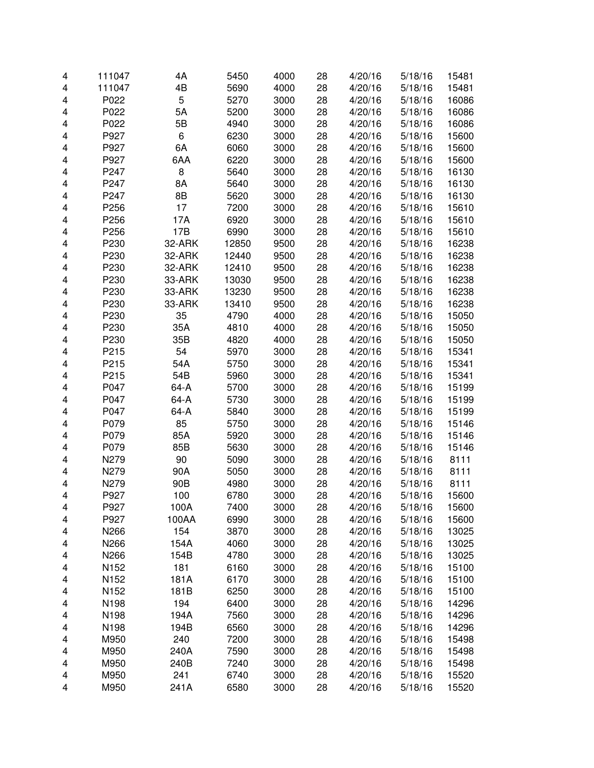| 4                       | 111047           | 4A     | 5450         | 4000         | 28 | 4/20/16 | 5/18/16            | 15481          |
|-------------------------|------------------|--------|--------------|--------------|----|---------|--------------------|----------------|
| $\overline{\mathbf{4}}$ | 111047           | 4B     | 5690         | 4000         | 28 | 4/20/16 | 5/18/16            | 15481          |
| 4                       | P022             | 5      | 5270         | 3000         | 28 | 4/20/16 | 5/18/16            | 16086          |
| 4                       | P022             | 5A     | 5200         | 3000         | 28 | 4/20/16 | 5/18/16            | 16086          |
| 4                       | P022             | 5B     | 4940         | 3000         | 28 | 4/20/16 | 5/18/16            | 16086          |
| 4                       | P927             | 6      | 6230         | 3000         | 28 | 4/20/16 | 5/18/16            | 15600          |
| 4                       | P927             | 6A     | 6060         | 3000         | 28 | 4/20/16 | 5/18/16            | 15600          |
| 4                       | P927             | 6AA    | 6220         | 3000         | 28 | 4/20/16 | 5/18/16            | 15600          |
| 4                       | P247             | 8      | 5640         | 3000         | 28 | 4/20/16 | 5/18/16            | 16130          |
| 4                       | P247             | 8A     | 5640         | 3000         | 28 | 4/20/16 | 5/18/16            | 16130          |
| 4                       | P247             | 8B     | 5620         | 3000         | 28 | 4/20/16 | 5/18/16            | 16130          |
| 4                       | P256             | 17     | 7200         | 3000         | 28 | 4/20/16 | 5/18/16            | 15610          |
| 4                       | P256             | 17A    | 6920         | 3000         | 28 | 4/20/16 | 5/18/16            | 15610          |
| 4                       | P256             | 17B    | 6990         | 3000         | 28 | 4/20/16 | 5/18/16            | 15610          |
| 4                       | P230             | 32-ARK | 12850        | 9500         | 28 | 4/20/16 | 5/18/16            | 16238          |
| 4                       | P230             | 32-ARK | 12440        | 9500         | 28 | 4/20/16 | 5/18/16            | 16238          |
| 4                       | P230             | 32-ARK | 12410        | 9500         | 28 | 4/20/16 | 5/18/16            | 16238          |
| 4                       | P230             | 33-ARK | 13030        | 9500         | 28 | 4/20/16 | 5/18/16            | 16238          |
| 4                       | P230             | 33-ARK | 13230        | 9500         | 28 | 4/20/16 | 5/18/16            | 16238          |
| 4                       | P230             | 33-ARK | 13410        | 9500         | 28 | 4/20/16 | 5/18/16            | 16238          |
| 4                       | P230             | 35     | 4790         | 4000         | 28 | 4/20/16 | 5/18/16            | 15050          |
| 4                       | P230             | 35A    | 4810         | 4000         | 28 | 4/20/16 | 5/18/16            | 15050          |
| 4                       | P230             | 35B    | 4820         | 4000         | 28 | 4/20/16 | 5/18/16            | 15050          |
| 4                       | P215             | 54     | 5970         | 3000         | 28 | 4/20/16 | 5/18/16            | 15341          |
| 4                       | P215             | 54A    | 5750         | 3000         | 28 | 4/20/16 | 5/18/16            | 15341          |
| 4                       | P215             | 54B    | 5960         | 3000         | 28 | 4/20/16 | 5/18/16            | 15341          |
| 4                       | P047             | 64-A   | 5700         | 3000         | 28 | 4/20/16 | 5/18/16            | 15199          |
| 4                       | P047             | 64-A   | 5730         | 3000         | 28 | 4/20/16 | 5/18/16            | 15199          |
| 4                       | P047             | 64-A   | 5840         | 3000         | 28 | 4/20/16 | 5/18/16            | 15199          |
| 4                       | P079             | 85     | 5750         | 3000         | 28 | 4/20/16 | 5/18/16            | 15146          |
| 4                       | P079             | 85A    | 5920         | 3000         | 28 | 4/20/16 | 5/18/16            | 15146          |
| 4                       | P079             | 85B    | 5630         | 3000         | 28 | 4/20/16 | 5/18/16            | 15146          |
| 4                       | N279             | 90     | 5090         | 3000         | 28 | 4/20/16 | 5/18/16            | 8111           |
| 4                       | N279             | 90A    | 5050         | 3000         | 28 | 4/20/16 | 5/18/16            | 8111           |
| 4                       | N279             | 90B    | 4980         | 3000         | 28 | 4/20/16 | 5/18/16            | 8111           |
| 4                       | P927             | 100    | 6780         | 3000         | 28 | 4/20/16 | 5/18/16            | 15600          |
| 4                       | P927             | 100A   | 7400         |              | 28 | 4/20/16 |                    |                |
| 4                       | P927             | 100AA  | 6990         | 3000<br>3000 | 28 | 4/20/16 | 5/18/16<br>5/18/16 | 15600<br>15600 |
| 4                       | N266             | 154    | 3870         | 3000         | 28 | 4/20/16 | 5/18/16            | 13025          |
| 4                       | N266             | 154A   | 4060         | 3000         | 28 | 4/20/16 | 5/18/16            | 13025          |
| 4                       | N266             | 154B   | 4780         | 3000         | 28 | 4/20/16 | 5/18/16            | 13025          |
| 4                       | N <sub>152</sub> | 181    | 6160         | 3000         | 28 | 4/20/16 | 5/18/16            | 15100          |
| 4                       | N <sub>152</sub> | 181A   | 6170         | 3000         | 28 | 4/20/16 | 5/18/16            | 15100          |
| 4                       | N152             | 181B   | 6250         | 3000         | 28 | 4/20/16 | 5/18/16            | 15100          |
| 4                       | N198             | 194    | 6400         | 3000         | 28 | 4/20/16 | 5/18/16            | 14296          |
|                         |                  |        |              |              |    |         |                    |                |
| 4                       | N198             | 194A   | 7560<br>6560 | 3000         | 28 | 4/20/16 | 5/18/16            | 14296          |
| 4                       | N198             | 194B   |              | 3000         | 28 | 4/20/16 | 5/18/16            | 14296          |
| 4                       | M950             | 240    | 7200         | 3000         | 28 | 4/20/16 | 5/18/16            | 15498          |
| 4                       | M950             | 240A   | 7590         | 3000         | 28 | 4/20/16 | 5/18/16            | 15498          |
| 4                       | M950             | 240B   | 7240         | 3000         | 28 | 4/20/16 | 5/18/16            | 15498          |
| 4                       | M950             | 241    | 6740         | 3000         | 28 | 4/20/16 | 5/18/16            | 15520          |
| 4                       | M950             | 241A   | 6580         | 3000         | 28 | 4/20/16 | 5/18/16            | 15520          |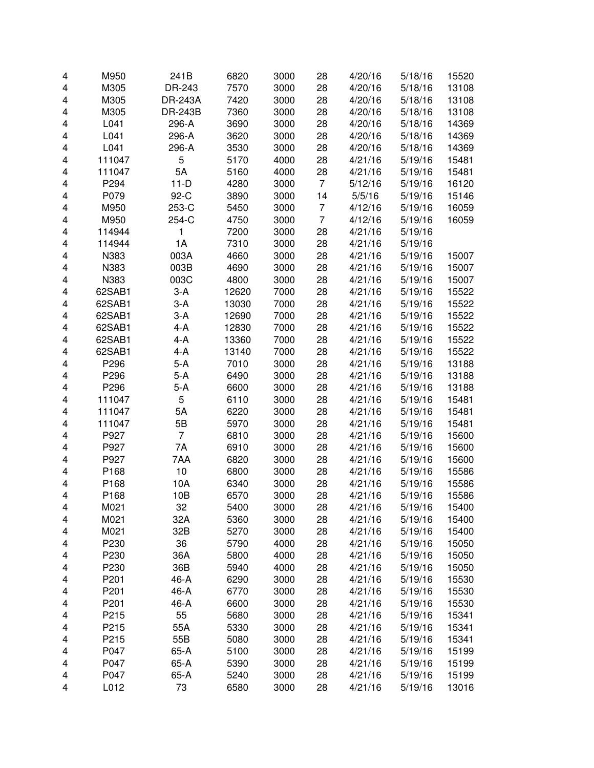| 4 | M950   | 241B           | 6820  | 3000 | 28             | 4/20/16 | 5/18/16 | 15520 |
|---|--------|----------------|-------|------|----------------|---------|---------|-------|
| 4 | M305   | DR-243         | 7570  | 3000 | 28             | 4/20/16 | 5/18/16 | 13108 |
| 4 | M305   | <b>DR-243A</b> | 7420  | 3000 | 28             | 4/20/16 | 5/18/16 | 13108 |
| 4 | M305   | <b>DR-243B</b> | 7360  | 3000 | 28             | 4/20/16 | 5/18/16 | 13108 |
| 4 | L041   | 296-A          | 3690  | 3000 | 28             | 4/20/16 | 5/18/16 | 14369 |
| 4 | L041   | 296-A          | 3620  | 3000 | 28             | 4/20/16 | 5/18/16 | 14369 |
| 4 | L041   | 296-A          | 3530  | 3000 | 28             | 4/20/16 | 5/18/16 | 14369 |
| 4 | 111047 | 5              | 5170  | 4000 | 28             | 4/21/16 | 5/19/16 | 15481 |
| 4 | 111047 | 5A             | 5160  | 4000 | 28             | 4/21/16 | 5/19/16 | 15481 |
| 4 | P294   | $11-D$         | 4280  | 3000 | $\overline{7}$ | 5/12/16 | 5/19/16 | 16120 |
| 4 | P079   | 92-C           | 3890  | 3000 | 14             | 5/5/16  | 5/19/16 | 15146 |
| 4 | M950   | 253-C          | 5450  | 3000 | 7              | 4/12/16 | 5/19/16 | 16059 |
| 4 | M950   | 254-C          | 4750  | 3000 | $\overline{7}$ | 4/12/16 | 5/19/16 | 16059 |
| 4 | 114944 | 1              | 7200  | 3000 | 28             | 4/21/16 | 5/19/16 |       |
| 4 | 114944 | 1A             | 7310  | 3000 | 28             | 4/21/16 | 5/19/16 |       |
| 4 | N383   | 003A           | 4660  | 3000 | 28             | 4/21/16 | 5/19/16 | 15007 |
| 4 | N383   | 003B           | 4690  | 3000 | 28             | 4/21/16 | 5/19/16 | 15007 |
| 4 | N383   | 003C           | 4800  | 3000 | 28             | 4/21/16 | 5/19/16 | 15007 |
| 4 | 62SAB1 | 3-A            | 12620 | 7000 | 28             | 4/21/16 | 5/19/16 | 15522 |
| 4 | 62SAB1 | $3-A$          | 13030 | 7000 | 28             | 4/21/16 | 5/19/16 | 15522 |
| 4 | 62SAB1 | $3-A$          | 12690 | 7000 | 28             | 4/21/16 | 5/19/16 | 15522 |
| 4 | 62SAB1 | 4-A            | 12830 | 7000 | 28             | 4/21/16 | 5/19/16 | 15522 |
| 4 | 62SAB1 | 4-A            | 13360 | 7000 | 28             | 4/21/16 | 5/19/16 | 15522 |
| 4 | 62SAB1 | 4-A            | 13140 | 7000 | 28             | 4/21/16 | 5/19/16 | 15522 |
| 4 | P296   | $5-A$          | 7010  | 3000 | 28             | 4/21/16 | 5/19/16 | 13188 |
| 4 | P296   | $5-A$          | 6490  | 3000 | 28             | 4/21/16 | 5/19/16 | 13188 |
| 4 | P296   | $5-A$          | 6600  | 3000 | 28             | 4/21/16 | 5/19/16 | 13188 |
| 4 | 111047 | 5              | 6110  | 3000 | 28             | 4/21/16 | 5/19/16 | 15481 |
| 4 | 111047 | 5A             | 6220  | 3000 | 28             | 4/21/16 | 5/19/16 | 15481 |
| 4 | 111047 | 5B             | 5970  | 3000 | 28             | 4/21/16 | 5/19/16 | 15481 |
| 4 | P927   | $\overline{7}$ | 6810  | 3000 | 28             | 4/21/16 | 5/19/16 | 15600 |
| 4 | P927   | 7A             | 6910  | 3000 | 28             | 4/21/16 | 5/19/16 | 15600 |
| 4 | P927   | 7AA            | 6820  | 3000 | 28             | 4/21/16 | 5/19/16 | 15600 |
| 4 | P168   | 10             | 6800  | 3000 | 28             | 4/21/16 | 5/19/16 | 15586 |
| 4 | P168   | 10A            | 6340  | 3000 | 28             | 4/21/16 | 5/19/16 | 15586 |
| 4 | P168   | 10B            | 6570  | 3000 | 28             | 4/21/16 | 5/19/16 | 15586 |
| 4 | M021   | 32             | 5400  | 3000 | 28             | 4/21/16 | 5/19/16 | 15400 |
| 4 | M021   | 32A            | 5360  | 3000 | 28             | 4/21/16 | 5/19/16 | 15400 |
| 4 | M021   | 32B            | 5270  | 3000 | 28             | 4/21/16 | 5/19/16 | 15400 |
| 4 | P230   | 36             | 5790  | 4000 | 28             | 4/21/16 | 5/19/16 | 15050 |
| 4 | P230   | 36A            | 5800  | 4000 | 28             | 4/21/16 | 5/19/16 | 15050 |
| 4 | P230   | 36B            | 5940  | 4000 | 28             | 4/21/16 | 5/19/16 | 15050 |
| 4 | P201   | 46-A           | 6290  | 3000 | 28             | 4/21/16 | 5/19/16 | 15530 |
| 4 | P201   | 46-A           | 6770  | 3000 | 28             | 4/21/16 | 5/19/16 | 15530 |
| 4 | P201   | 46-A           | 6600  | 3000 | 28             | 4/21/16 | 5/19/16 | 15530 |
| 4 | P215   | 55             | 5680  | 3000 | 28             | 4/21/16 | 5/19/16 | 15341 |
| 4 | P215   | 55A            | 5330  | 3000 | 28             | 4/21/16 | 5/19/16 | 15341 |
| 4 | P215   | 55B            | 5080  | 3000 | 28             | 4/21/16 | 5/19/16 | 15341 |
| 4 | P047   | 65-A           | 5100  | 3000 | 28             | 4/21/16 | 5/19/16 | 15199 |
| 4 | P047   | 65-A           | 5390  | 3000 | 28             | 4/21/16 | 5/19/16 | 15199 |
| 4 | P047   | 65-A           | 5240  | 3000 | 28             | 4/21/16 | 5/19/16 | 15199 |
| 4 | L012   | 73             | 6580  | 3000 | 28             | 4/21/16 | 5/19/16 | 13016 |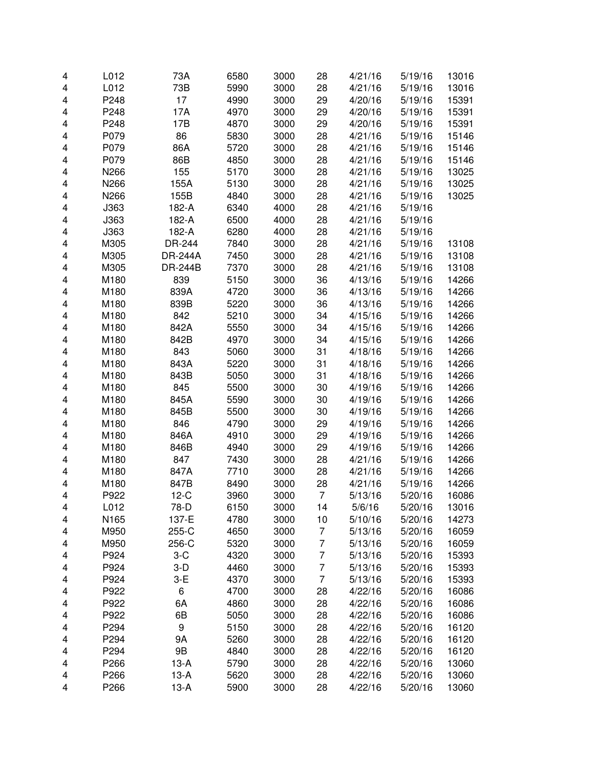| 4                       | L012 | 73A              | 6580 | 3000 | 28             | 4/21/16 | 5/19/16 | 13016 |
|-------------------------|------|------------------|------|------|----------------|---------|---------|-------|
| 4                       | L012 | 73B              | 5990 | 3000 | 28             | 4/21/16 | 5/19/16 | 13016 |
| 4                       | P248 | 17               | 4990 | 3000 | 29             | 4/20/16 | 5/19/16 | 15391 |
| 4                       | P248 | 17A              | 4970 | 3000 | 29             | 4/20/16 | 5/19/16 | 15391 |
| 4                       | P248 | 17B              | 4870 | 3000 | 29             | 4/20/16 | 5/19/16 | 15391 |
| 4                       | P079 | 86               | 5830 | 3000 | 28             | 4/21/16 | 5/19/16 | 15146 |
|                         | P079 | 86A              |      | 3000 | 28             | 4/21/16 |         | 15146 |
| 4                       |      |                  | 5720 |      |                |         | 5/19/16 |       |
| 4                       | P079 | 86B              | 4850 | 3000 | 28             | 4/21/16 | 5/19/16 | 15146 |
| 4                       | N266 | 155              | 5170 | 3000 | 28             | 4/21/16 | 5/19/16 | 13025 |
| 4                       | N266 | 155A             | 5130 | 3000 | 28             | 4/21/16 | 5/19/16 | 13025 |
| $\overline{\mathbf{4}}$ | N266 | 155B             | 4840 | 3000 | 28             | 4/21/16 | 5/19/16 | 13025 |
| 4                       | J363 | 182-A            | 6340 | 4000 | 28             | 4/21/16 | 5/19/16 |       |
| 4                       | J363 | 182-A            | 6500 | 4000 | 28             | 4/21/16 | 5/19/16 |       |
| 4                       | J363 | 182-A            | 6280 | 4000 | 28             | 4/21/16 | 5/19/16 |       |
| $\overline{\mathbf{4}}$ | M305 | DR-244           | 7840 | 3000 | 28             | 4/21/16 | 5/19/16 | 13108 |
| 4                       | M305 | <b>DR-244A</b>   | 7450 | 3000 | 28             | 4/21/16 | 5/19/16 | 13108 |
| $\overline{\mathbf{4}}$ | M305 | <b>DR-244B</b>   | 7370 | 3000 | 28             | 4/21/16 | 5/19/16 | 13108 |
| 4                       | M180 | 839              | 5150 | 3000 | 36             | 4/13/16 | 5/19/16 | 14266 |
| 4                       | M180 | 839A             | 4720 | 3000 | 36             | 4/13/16 | 5/19/16 | 14266 |
| 4                       | M180 | 839B             | 5220 | 3000 | 36             | 4/13/16 | 5/19/16 | 14266 |
| 4                       | M180 | 842              | 5210 | 3000 | 34             | 4/15/16 | 5/19/16 | 14266 |
| 4                       | M180 | 842A             | 5550 | 3000 | 34             | 4/15/16 | 5/19/16 | 14266 |
| 4                       | M180 | 842B             | 4970 | 3000 | 34             | 4/15/16 | 5/19/16 | 14266 |
| 4                       | M180 | 843              | 5060 | 3000 | 31             | 4/18/16 | 5/19/16 | 14266 |
| 4                       | M180 | 843A             | 5220 | 3000 | 31             | 4/18/16 | 5/19/16 | 14266 |
| 4                       | M180 | 843B             | 5050 | 3000 | 31             | 4/18/16 | 5/19/16 | 14266 |
| $\overline{\mathbf{4}}$ | M180 | 845              | 5500 | 3000 | 30             | 4/19/16 | 5/19/16 | 14266 |
| $\overline{\mathbf{4}}$ | M180 | 845A             | 5590 | 3000 | 30             | 4/19/16 | 5/19/16 | 14266 |
| 4                       | M180 | 845B             | 5500 | 3000 | 30             | 4/19/16 | 5/19/16 | 14266 |
|                         |      |                  |      |      |                |         |         |       |
| $\overline{\mathbf{4}}$ | M180 | 846              | 4790 | 3000 | 29             | 4/19/16 | 5/19/16 | 14266 |
| 4                       | M180 | 846A             | 4910 | 3000 | 29             | 4/19/16 | 5/19/16 | 14266 |
| $\overline{\mathbf{4}}$ | M180 | 846B             | 4940 | 3000 | 29             | 4/19/16 | 5/19/16 | 14266 |
| 4                       | M180 | 847              | 7430 | 3000 | 28             | 4/21/16 | 5/19/16 | 14266 |
| 4                       | M180 | 847A             | 7710 | 3000 | 28             | 4/21/16 | 5/19/16 | 14266 |
| 4                       | M180 | 847B             | 8490 | 3000 | 28             | 4/21/16 | 5/19/16 | 14266 |
| 4                       | P922 | $12-C$           | 3960 | 3000 | 7              | 5/13/16 | 5/20/16 | 16086 |
| 4                       | L012 | 78-D             | 6150 | 3000 | 14             | 5/6/16  | 5/20/16 | 13016 |
| 4                       | N165 | 137-E            | 4780 | 3000 | 10             | 5/10/16 | 5/20/16 | 14273 |
| 4                       | M950 | 255-C            | 4650 | 3000 | 7              | 5/13/16 | 5/20/16 | 16059 |
| 4                       | M950 | 256-C            | 5320 | 3000 | $\overline{7}$ | 5/13/16 | 5/20/16 | 16059 |
| 4                       | P924 | $3-C$            | 4320 | 3000 | $\overline{7}$ | 5/13/16 | 5/20/16 | 15393 |
| 4                       | P924 | $3-D$            | 4460 | 3000 | $\overline{7}$ | 5/13/16 | 5/20/16 | 15393 |
| 4                       | P924 | $3-E$            | 4370 | 3000 | $\overline{7}$ | 5/13/16 | 5/20/16 | 15393 |
| 4                       | P922 | 6                | 4700 | 3000 | 28             | 4/22/16 | 5/20/16 | 16086 |
| 4                       | P922 | 6A               | 4860 | 3000 | 28             | 4/22/16 | 5/20/16 | 16086 |
| 4                       | P922 | 6B               | 5050 | 3000 | 28             | 4/22/16 | 5/20/16 | 16086 |
| 4                       | P294 | $\boldsymbol{9}$ | 5150 | 3000 | 28             | 4/22/16 | 5/20/16 | 16120 |
| 4                       | P294 | 9Α               | 5260 | 3000 | 28             | 4/22/16 | 5/20/16 | 16120 |
| 4                       | P294 | 9B               | 4840 | 3000 | 28             | 4/22/16 | 5/20/16 | 16120 |
| 4                       | P266 | $13-A$           | 5790 | 3000 | 28             | 4/22/16 | 5/20/16 | 13060 |
| 4                       | P266 | $13-A$           | 5620 | 3000 | 28             | 4/22/16 | 5/20/16 | 13060 |
| 4                       | P266 | $13-A$           | 5900 | 3000 | 28             | 4/22/16 | 5/20/16 | 13060 |
|                         |      |                  |      |      |                |         |         |       |